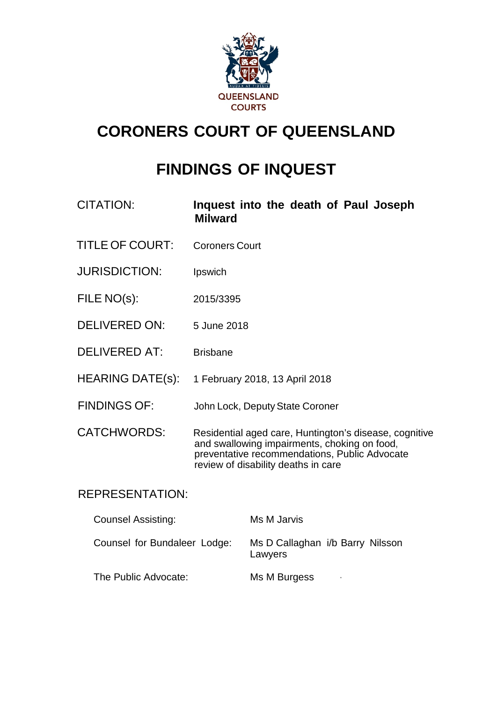

# **CORONERS COURT OF QUEENSLAND**

# **FINDINGS OF INQUEST**

- CITATION: **Inquest into the death of Paul Joseph Milward**
- TITLE OF COURT: Coroners Court
- JURISDICTION: Ipswich
- FILE NO(s): 2015/3395
- DELIVERED ON: 5 June 2018
- DELIVERED AT: Brisbane
- HEARING DATE(s): 1 February 2018, 13 April 2018
- FINDINGS OF: John Lock, Deputy State Coroner
- CATCHWORDS: Residential aged care, Huntington's disease, cognitive and swallowing impairments, choking on food, preventative recommendations, Public Advocate review of disability deaths in care

#### REPRESENTATION:

| <b>Counsel Assisting:</b>    | Ms M Jarvis                                 |
|------------------------------|---------------------------------------------|
| Counsel for Bundaleer Lodge: | Ms D Callaghan i/b Barry Nilsson<br>Lawyers |
| The Public Advocate:         | Ms M Burgess<br>$\blacksquare$              |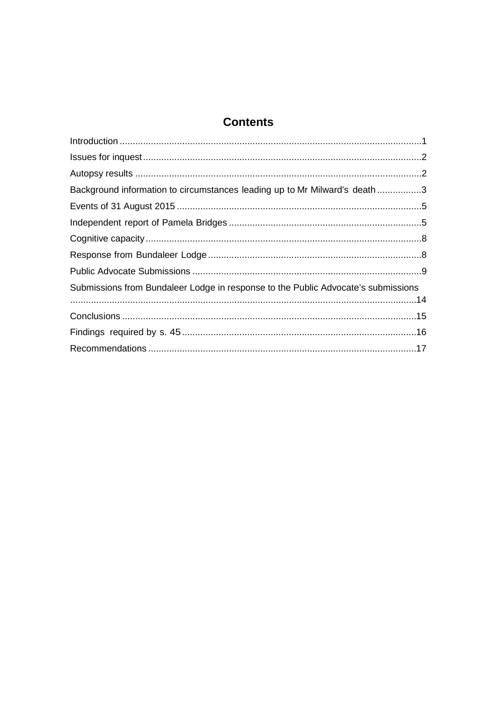### **Contents**

| Background information to circumstances leading up to Mr Milward's death3         |  |
|-----------------------------------------------------------------------------------|--|
|                                                                                   |  |
|                                                                                   |  |
|                                                                                   |  |
|                                                                                   |  |
|                                                                                   |  |
| Submissions from Bundaleer Lodge in response to the Public Advocate's submissions |  |
|                                                                                   |  |
|                                                                                   |  |
|                                                                                   |  |
|                                                                                   |  |
|                                                                                   |  |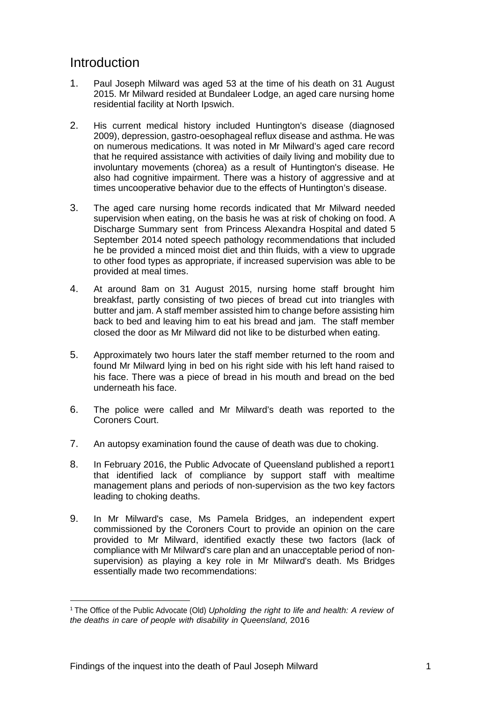### <span id="page-2-0"></span>Introduction

- 1. Paul Joseph Milward was aged 53 at the time of his death on 31 August 2015. Mr Milward resided at Bundaleer Lodge, an aged care nursing home residential facility at North Ipswich.
- 2. His current medical history included Huntington's disease (diagnosed 2009), depression, gastro-oesophageal reflux disease and asthma. He was on numerous medications. It was noted in Mr Milward's aged care record that he required assistance with activities of daily living and mobility due to involuntary movements (chorea) as a result of Huntington's disease. He also had cognitive impairment. There was a history of aggressive and at times uncooperative behavior due to the effects of Huntington's disease.
- 3. The aged care nursing home records indicated that Mr Milward needed supervision when eating, on the basis he was at risk of choking on food. A Discharge Summary sent from Princess Alexandra Hospital and dated 5 September 2014 noted speech pathology recommendations that included he be provided a minced moist diet and thin fluids, with a view to upgrade to other food types as appropriate, if increased supervision was able to be provided at meal times.
- 4. At around 8am on 31 August 2015, nursing home staff brought him breakfast, partly consisting of two pieces of bread cut into triangles with butter and jam. A staff member assisted him to change before assisting him back to bed and leaving him to eat his bread and jam. The staff member closed the door as Mr Milward did not like to be disturbed when eating.
- 5. Approximately two hours later the staff member returned to the room and found Mr Milward lying in bed on his right side with his left hand raised to his face. There was a piece of bread in his mouth and bread on the bed underneath his face.
- 6. The police were called and Mr Milward's death was reported to the Coroners Court.
- 7. An autopsy examination found the cause of death was due to choking.
- 8. In February 2016, the Public Advocate of Queensland published a report[1](#page-2-1) that identified lack of compliance by support staff with mealtime management plans and periods of non-supervision as the two key factors leading to choking deaths.
- 9. In Mr Milward's case, Ms Pamela Bridges, an independent expert commissioned by the Coroners Court to provide an opinion on the care provided to Mr Milward, identified exactly these two factors (lack of compliance with Mr Milward's care plan and an unacceptable period of nonsupervision) as playing a key role in Mr Milward's death. Ms Bridges essentially made two recommendations:

**.** 

<span id="page-2-1"></span><sup>1</sup> The Office of the Public Advocate (Old) *Upholding the right to life and health: A review of the deaths in care of people with disability in Queensland,* 2016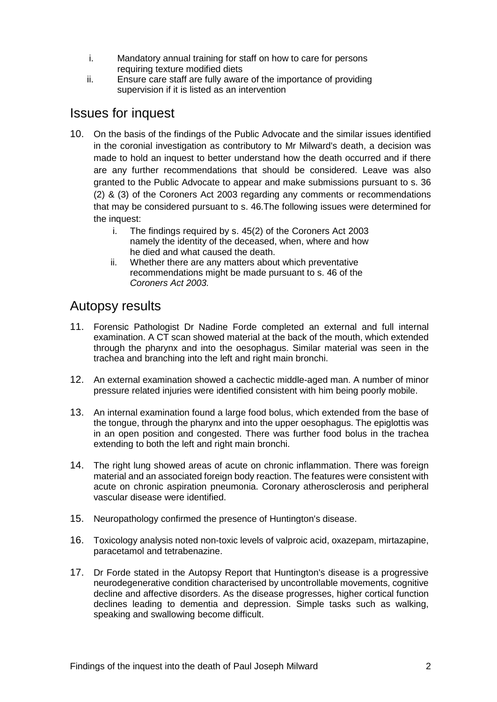- i. Mandatory annual training for staff on how to care for persons requiring texture modified diets
- ii. Ensure care staff are fully aware of the importance of providing supervision if it is listed as an intervention

### <span id="page-3-0"></span>Issues for inquest

- 10. On the basis of the findings of the Public Advocate and the similar issues identified in the coronial investigation as contributory to Mr Milward's death, a decision was made to hold an inquest to better understand how the death occurred and if there are any further recommendations that should be considered. Leave was also granted to the Public Advocate to appear and make submissions pursuant to s. 36 (2) & (3) of the Coroners Act 2003 regarding any comments or recommendations that may be considered pursuant to s. 46.The following issues were determined for the inquest:
	- i. The findings required by s. 45(2) of the Coroners Act 2003 namely the identity of the deceased, when, where and how he died and what caused the death.
	- ii. Whether there are any matters about which preventative recommendations might be made pursuant to s. 46 of the *Coroners Act 2003.*

#### <span id="page-3-1"></span>Autopsy results

- 11. Forensic Pathologist Dr Nadine Forde completed an external and full internal examination. A CT scan showed material at the back of the mouth, which extended through the pharynx and into the oesophagus. Similar material was seen in the trachea and branching into the left and right main bronchi.
- 12. An external examination showed a cachectic middle-aged man. A number of minor pressure related injuries were identified consistent with him being poorly mobile.
- 13. An internal examination found a large food bolus, which extended from the base of the tongue, through the pharynx and into the upper oesophagus. The epiglottis was in an open position and congested. There was further food bolus in the trachea extending to both the left and right main bronchi.
- 14. The right lung showed areas of acute on chronic inflammation. There was foreign material and an associated foreign body reaction. The features were consistent with acute on chronic aspiration pneumonia. Coronary atherosclerosis and peripheral vascular disease were identified.
- 15. Neuropathology confirmed the presence of Huntington's disease.
- 16. Toxicology analysis noted non-toxic levels of valproic acid, oxazepam, mirtazapine, paracetamol and tetrabenazine.
- 17. Dr Forde stated in the Autopsy Report that Huntington's disease is a progressive neurodegenerative condition characterised by uncontrollable movements, cognitive decline and affective disorders. As the disease progresses, higher cortical function declines leading to dementia and depression. Simple tasks such as walking, speaking and swallowing become difficult.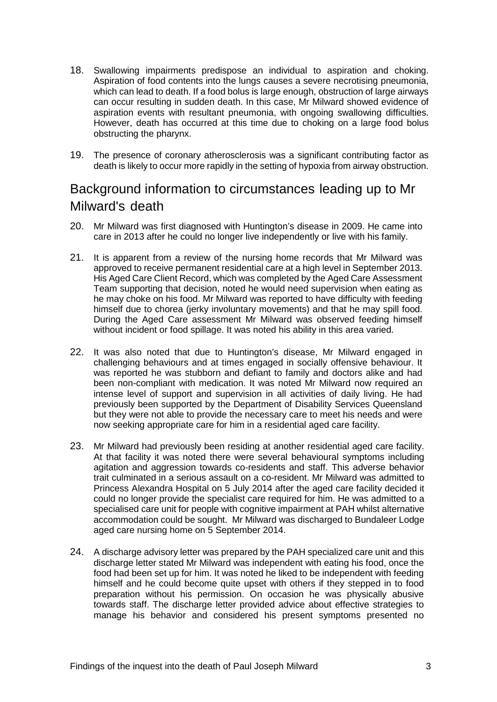- 18. Swallowing impairments predispose an individual to aspiration and choking. Aspiration of food contents into the lungs causes a severe necrotising pneumonia, which can lead to death. If a food bolus is large enough, obstruction of large airways can occur resulting in sudden death. In this case, Mr Milward showed evidence of aspiration events with resultant pneumonia, with ongoing swallowing difficulties. However, death has occurred at this time due to choking on a large food bolus obstructing the pharynx.
- 19. The presence of coronary atherosclerosis was a significant contributing factor as death is likely to occur more rapidly in the setting of hypoxia from airway obstruction.

# <span id="page-4-0"></span>Background information to circumstances leading up to Mr Milward's death

- 20. Mr Milward was first diagnosed with Huntington's disease in 2009. He came into care in 2013 after he could no longer live independently or live with his family.
- 21. It is apparent from a review of the nursing home records that Mr Milward was approved to receive permanent residential care at a high level in September 2013. His Aged Care Client Record, which was completed by the Aged Care Assessment Team supporting that decision, noted he would need supervision when eating as he may choke on his food. Mr Milward was reported to have difficulty with feeding himself due to chorea (jerky involuntary movements) and that he may spill food. During the Aged Care assessment Mr Milward was observed feeding himself without incident or food spillage. It was noted his ability in this area varied.
- 22. It was also noted that due to Huntington's disease, Mr Milward engaged in challenging behaviours and at times engaged in socially offensive behaviour. It was reported he was stubborn and defiant to family and doctors alike and had been non-compliant with medication. It was noted Mr Milward now required an intense level of support and supervision in all activities of daily living. He had previously been supported by the Department of Disability Services Queensland but they were not able to provide the necessary care to meet his needs and were now seeking appropriate care for him in a residential aged care facility.
- 23. Mr Milward had previously been residing at another residential aged care facility. At that facility it was noted there were several behavioural symptoms including agitation and aggression towards co-residents and staff. This adverse behavior trait culminated in a serious assault on a co-resident. Mr Milward was admitted to Princess Alexandra Hospital on 5 July 2014 after the aged care facility decided it could no longer provide the specialist care required for him. He was admitted to a specialised care unit for people with cognitive impairment at PAH whilst alternative accommodation could be sought. Mr Milward was discharged to Bundaleer Lodge aged care nursing home on 5 September 2014.
- 24. A discharge advisory letter was prepared by the PAH specialized care unit and this discharge letter stated Mr Milward was independent with eating his food, once the food had been set up for him. It was noted he liked to be independent with feeding himself and he could become quite upset with others if they stepped in to food preparation without his permission. On occasion he was physically abusive towards staff. The discharge letter provided advice about effective strategies to manage his behavior and considered his present symptoms presented no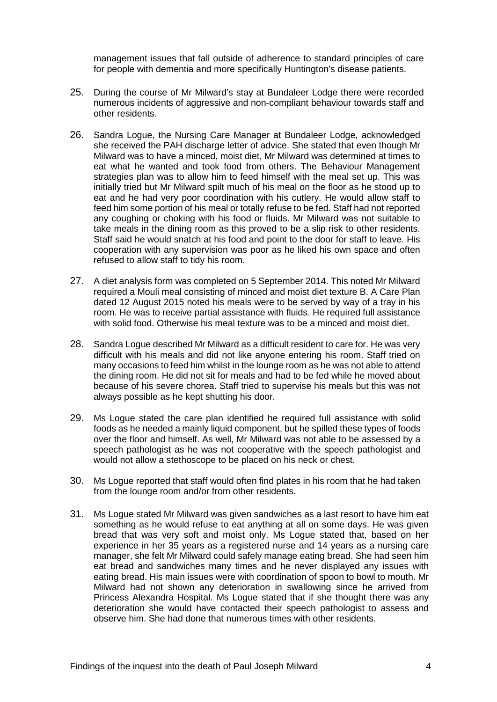management issues that fall outside of adherence to standard principles of care for people with dementia and more specifically Huntington's disease patients.

- 25. During the course of Mr Milward's stay at Bundaleer Lodge there were recorded numerous incidents of aggressive and non-compliant behaviour towards staff and other residents.
- 26. Sandra Logue, the Nursing Care Manager at Bundaleer Lodge, acknowledged she received the PAH discharge letter of advice. She stated that even though Mr Milward was to have a minced, moist diet, Mr Milward was determined at times to eat what he wanted and took food from others. The Behaviour Management strategies plan was to allow him to feed himself with the meal set up. This was initially tried but Mr Milward spilt much of his meal on the floor as he stood up to eat and he had very poor coordination with his cutlery. He would allow staff to feed him some portion of his meal or totally refuse to be fed. Staff had not reported any coughing or choking with his food or fluids. Mr Milward was not suitable to take meals in the dining room as this proved to be a slip risk to other residents. Staff said he would snatch at his food and point to the door for staff to leave. His cooperation with any supervision was poor as he liked his own space and often refused to allow staff to tidy his room.
- 27. A diet analysis form was completed on 5 September 2014. This noted Mr Milward required a Mouli meal consisting of minced and moist diet texture B. A Care Plan dated 12 August 2015 noted his meals were to be served by way of a tray in his room. He was to receive partial assistance with fluids. He required full assistance with solid food. Otherwise his meal texture was to be a minced and moist diet.
- 28. Sandra Logue described Mr Milward as a difficult resident to care for. He was very difficult with his meals and did not like anyone entering his room. Staff tried on many occasions to feed him whilst in the lounge room as he was not able to attend the dining room. He did not sit for meals and had to be fed while he moved about because of his severe chorea. Staff tried to supervise his meals but this was not always possible as he kept shutting his door.
- 29. Ms Logue stated the care plan identified he required full assistance with solid foods as he needed a mainly liquid component, but he spilled these types of foods over the floor and himself. As well, Mr Milward was not able to be assessed by a speech pathologist as he was not cooperative with the speech pathologist and would not allow a stethoscope to be placed on his neck or chest.
- 30. Ms Logue reported that staff would often find plates in his room that he had taken from the lounge room and/or from other residents.
- 31. Ms Logue stated Mr Milward was given sandwiches as a last resort to have him eat something as he would refuse to eat anything at all on some days. He was given bread that was very soft and moist only. Ms Logue stated that, based on her experience in her 35 years as a registered nurse and 14 years as a nursing care manager, she felt Mr Milward could safely manage eating bread. She had seen him eat bread and sandwiches many times and he never displayed any issues with eating bread. His main issues were with coordination of spoon to bowl to mouth. Mr Milward had not shown any deterioration in swallowing since he arrived from Princess Alexandra Hospital. Ms Logue stated that if she thought there was any deterioration she would have contacted their speech pathologist to assess and observe him. She had done that numerous times with other residents.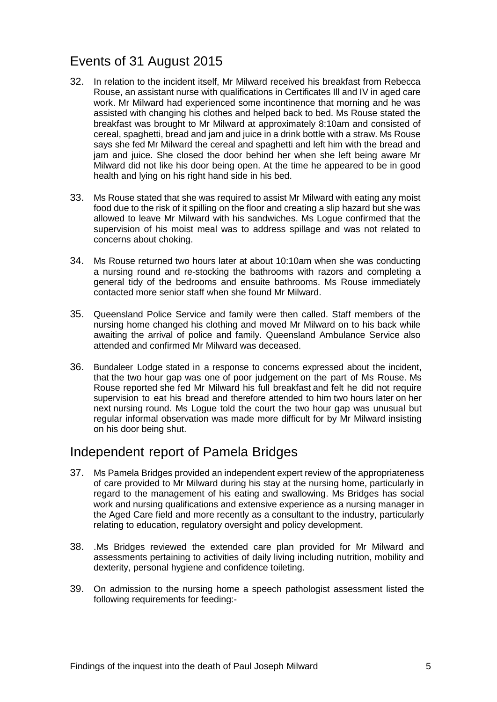## <span id="page-6-0"></span>Events of 31 August 2015

- 32. In relation to the incident itself, Mr Milward received his breakfast from Rebecca Rouse, an assistant nurse with qualifications in Certificates Ill and IV in aged care work. Mr Milward had experienced some incontinence that morning and he was assisted with changing his clothes and helped back to bed. Ms Rouse stated the breakfast was brought to Mr Milward at approximately 8:10am and consisted of cereal, spaghetti, bread and jam and juice in a drink bottle with a straw. Ms Rouse says she fed Mr Milward the cereal and spaghetti and left him with the bread and jam and juice. She closed the door behind her when she left being aware Mr Milward did not like his door being open. At the time he appeared to be in good health and lying on his right hand side in his bed.
- 33. Ms Rouse stated that she was required to assist Mr Milward with eating any moist food due to the risk of it spilling on the floor and creating a slip hazard but she was allowed to leave Mr Milward with his sandwiches. Ms Logue confirmed that the supervision of his moist meal was to address spillage and was not related to concerns about choking.
- 34. Ms Rouse returned two hours later at about 10:10am when she was conducting a nursing round and re-stocking the bathrooms with razors and completing a general tidy of the bedrooms and ensuite bathrooms. Ms Rouse immediately contacted more senior staff when she found Mr Milward.
- 35. Queensland Police Service and family were then called. Staff members of the nursing home changed his clothing and moved Mr Milward on to his back while awaiting the arrival of police and family. Queensland Ambulance Service also attended and confirmed Mr Milward was deceased.
- 36. Bundaleer Lodge stated in a response to concerns expressed about the incident, that the two hour gap was one of poor judgement on the part of Ms Rouse. Ms Rouse reported she fed Mr Milward his full breakfast and felt he did not require supervision to eat his bread and therefore attended to him two hours later on her next nursing round. Ms Logue told the court the two hour gap was unusual but regular informal observation was made more difficult for by Mr Milward insisting on his door being shut.

#### <span id="page-6-1"></span>Independent report of Pamela Bridges

- 37. Ms Pamela Bridges provided an independent expert review of the appropriateness of care provided to Mr Milward during his stay at the nursing home, particularly in regard to the management of his eating and swallowing. Ms Bridges has social work and nursing qualifications and extensive experience as a nursing manager in the Aged Care field and more recently as a consultant to the industry, particularly relating to education, regulatory oversight and policy development.
- 38. .Ms Bridges reviewed the extended care plan provided for Mr Milward and assessments pertaining to activities of daily living including nutrition, mobility and dexterity, personal hygiene and confidence toileting.
- 39. On admission to the nursing home a speech pathologist assessment listed the following requirements for feeding:-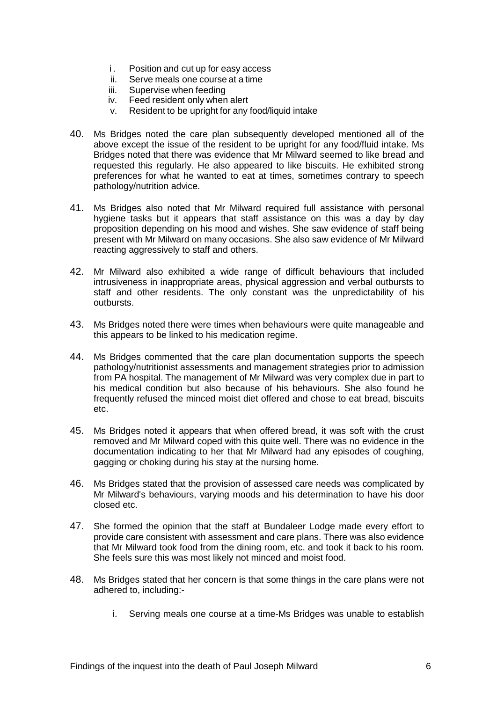- i. Position and cut up for easy access
- ii. Serve meals one course at a time
- iii. Supervise when feeding
- iv. Feed resident only when alert
- v. Resident to be upright for any food/liquid intake
- 40. Ms Bridges noted the care plan subsequently developed mentioned all of the above except the issue of the resident to be upright for any food/fluid intake. Ms Bridges noted that there was evidence that Mr Milward seemed to like bread and requested this regularly. He also appeared to like biscuits. He exhibited strong preferences for what he wanted to eat at times, sometimes contrary to speech pathology/nutrition advice.
- 41. Ms Bridges also noted that Mr Milward required full assistance with personal hygiene tasks but it appears that staff assistance on this was a day by day proposition depending on his mood and wishes. She saw evidence of staff being present with Mr Milward on many occasions. She also saw evidence of Mr Milward reacting aggressively to staff and others.
- 42. Mr Milward also exhibited a wide range of difficult behaviours that included intrusiveness in inappropriate areas, physical aggression and verbal outbursts to staff and other residents. The only constant was the unpredictability of his outbursts.
- 43. Ms Bridges noted there were times when behaviours were quite manageable and this appears to be linked to his medication regime.
- 44. Ms Bridges commented that the care plan documentation supports the speech pathology/nutritionist assessments and management strategies prior to admission from PA hospital. The management of Mr Milward was very complex due in part to his medical condition but also because of his behaviours. She also found he frequently refused the minced moist diet offered and chose to eat bread, biscuits etc.
- 45. Ms Bridges noted it appears that when offered bread, it was soft with the crust removed and Mr Milward coped with this quite well. There was no evidence in the documentation indicating to her that Mr Milward had any episodes of coughing, gagging or choking during his stay at the nursing home.
- 46. Ms Bridges stated that the provision of assessed care needs was complicated by Mr Milward's behaviours, varying moods and his determination to have his door closed etc.
- 47. She formed the opinion that the staff at Bundaleer Lodge made every effort to provide care consistent with assessment and care plans. There was also evidence that Mr Milward took food from the dining room, etc. and took it back to his room. She feels sure this was most likely not minced and moist food.
- 48. Ms Bridges stated that her concern is that some things in the care plans were not adhered to, including:
	- i. Serving meals one course at a time-Ms Bridges was unable to establish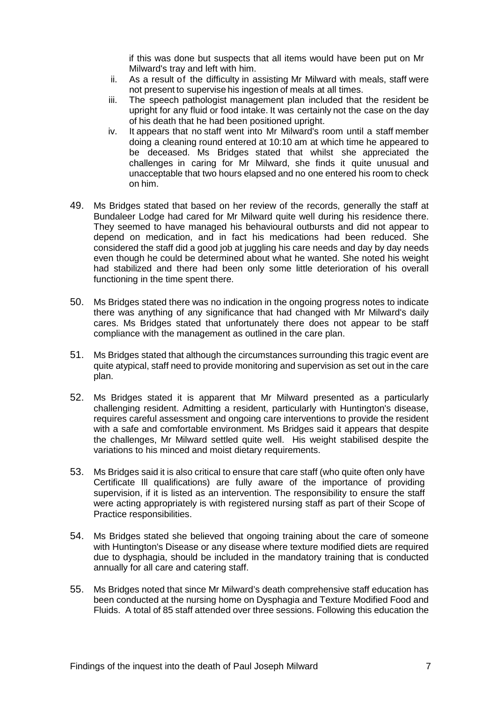if this was done but suspects that all items would have been put on Mr Milward's tray and left with him.

- ii. As a result of the difficulty in assisting Mr Milward with meals, staff were not present to supervise his ingestion of meals at all times.
- iii. The speech pathologist management plan included that the resident be upright for any fluid or food intake. It was certainly not the case on the day of his death that he had been positioned upright.
- iv. It appears that no staff went into Mr Milward's room until a staff member doing a cleaning round entered at 10:10 am at which time he appeared to be deceased. Ms Bridges stated that whilst she appreciated the challenges in caring for Mr Milward, she finds it quite unusual and unacceptable that two hours elapsed and no one entered his room to check on him.
- 49. Ms Bridges stated that based on her review of the records, generally the staff at Bundaleer Lodge had cared for Mr Milward quite well during his residence there. They seemed to have managed his behavioural outbursts and did not appear to depend on medication, and in fact his medications had been reduced. She considered the staff did a good job at juggling his care needs and day by day needs even though he could be determined about what he wanted. She noted his weight had stabilized and there had been only some little deterioration of his overall functioning in the time spent there.
- 50. Ms Bridges stated there was no indication in the ongoing progress notes to indicate there was anything of any significance that had changed with Mr Milward's daily cares. Ms Bridges stated that unfortunately there does not appear to be staff compliance with the management as outlined in the care plan.
- 51. Ms Bridges stated that although the circumstances surrounding this tragic event are quite atypical, staff need to provide monitoring and supervision as set out in the care plan.
- 52. Ms Bridges stated it is apparent that Mr Milward presented as a particularly challenging resident. Admitting a resident, particularly with Huntington's disease, requires careful assessment and ongoing care interventions to provide the resident with a safe and comfortable environment. Ms Bridges said it appears that despite the challenges, Mr Milward settled quite well. His weight stabilised despite the variations to his minced and moist dietary requirements.
- 53. Ms Bridges said it is also critical to ensure that care staff (who quite often only have Certificate Ill qualifications) are fully aware of the importance of providing supervision, if it is listed as an intervention. The responsibility to ensure the staff were acting appropriately is with registered nursing staff as part of their Scope of Practice responsibilities.
- 54. Ms Bridges stated she believed that ongoing training about the care of someone with Huntington's Disease or any disease where texture modified diets are required due to dysphagia, should be included in the mandatory training that is conducted annually for all care and catering staff.
- 55. Ms Bridges noted that since Mr Milward's death comprehensive staff education has been conducted at the nursing home on Dysphagia and Texture Modified Food and Fluids. A total of 85 staff attended over three sessions. Following this education the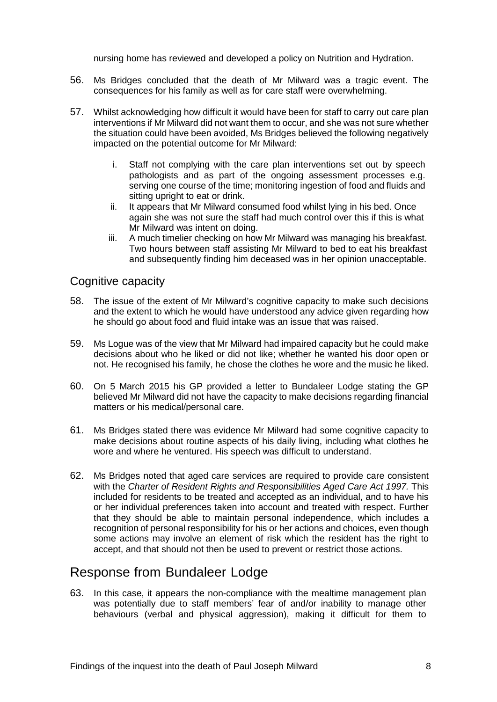nursing home has reviewed and developed a policy on Nutrition and Hydration.

- 56. Ms Bridges concluded that the death of Mr Milward was a tragic event. The consequences for his family as well as for care staff were overwhelming.
- 57. Whilst acknowledging how difficult it would have been for staff to carry out care plan interventions if Mr Milward did not want them to occur, and she was not sure whether the situation could have been avoided, Ms Bridges believed the following negatively impacted on the potential outcome for Mr Milward:
	- i. Staff not complying with the care plan interventions set out by speech pathologists and as part of the ongoing assessment processes e.g. serving one course of the time; monitoring ingestion of food and fluids and sitting upright to eat or drink.
	- ii. It appears that Mr Milward consumed food whilst lying in his bed. Once again she was not sure the staff had much control over this if this is what Mr Milward was intent on doing.
	- iii. A much timelier checking on how Mr Milward was managing his breakfast. Two hours between staff assisting Mr Milward to bed to eat his breakfast and subsequently finding him deceased was in her opinion unacceptable.

#### <span id="page-9-0"></span>Cognitive capacity

- 58. The issue of the extent of Mr Milward's cognitive capacity to make such decisions and the extent to which he would have understood any advice given regarding how he should go about food and fluid intake was an issue that was raised.
- 59. Ms Logue was of the view that Mr Milward had impaired capacity but he could make decisions about who he liked or did not like; whether he wanted his door open or not. He recognised his family, he chose the clothes he wore and the music he liked.
- 60. On 5 March 2015 his GP provided a letter to Bundaleer Lodge stating the GP believed Mr Milward did not have the capacity to make decisions regarding financial matters or his medical/personal care.
- 61. Ms Bridges stated there was evidence Mr Milward had some cognitive capacity to make decisions about routine aspects of his daily living, including what clothes he wore and where he ventured. His speech was difficult to understand.
- 62. Ms Bridges noted that aged care services are required to provide care consistent with the *Charter of Resident Rights and Responsibilities Aged Care Act 1997.* This included for residents to be treated and accepted as an individual, and to have his or her individual preferences taken into account and treated with respect. Further that they should be able to maintain personal independence, which includes a recognition of personal responsibility for his or her actions and choices, even though some actions may involve an element of risk which the resident has the right to accept, and that should not then be used to prevent or restrict those actions.

#### <span id="page-9-1"></span>Response from Bundaleer Lodge

63. In this case, it appears the non-compliance with the mealtime management plan was potentially due to staff members' fear of and/or inability to manage other behaviours (verbal and physical aggression), making it difficult for them to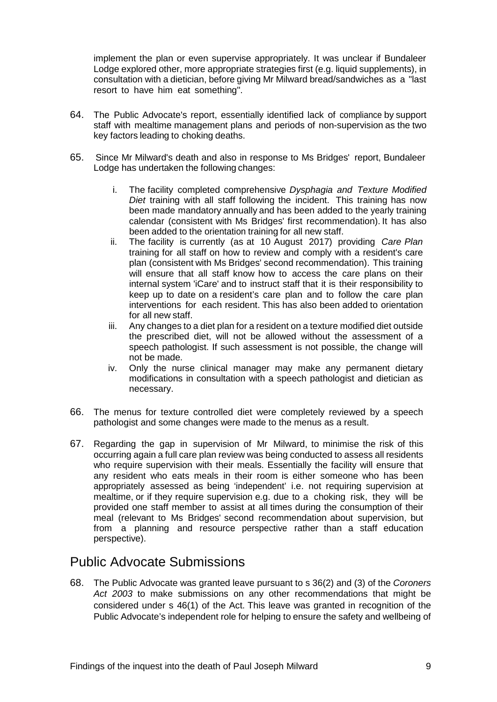implement the plan or even supervise appropriately. It was unclear if Bundaleer Lodge explored other, more appropriate strategies first (e.g. liquid supplements), in consultation with a dietician, before giving Mr Milward bread/sandwiches as a "last resort to have him eat something".

- 64. The Public Advocate's report, essentially identified lack of compliance by support staff with mealtime management plans and periods of non-supervision as the two key factors leading to choking deaths.
- 65. Since Mr Milward's death and also in response to Ms Bridges' report, Bundaleer Lodge has undertaken the following changes:
	- i. The facility completed comprehensive *Dysphagia and Texture Modified Diet* training with all staff following the incident. This training has now been made mandatory annually and has been added to the yearly training calendar (consistent with Ms Bridges' first recommendation). It has also been added to the orientation training for all new staff.
	- ii. The facility is currently (as at 10 August 2017) providing *Care Plan*  training for all staff on how to review and comply with a resident's care plan (consistent with Ms Bridges' second recommendation). This training will ensure that all staff know how to access the care plans on their internal system 'iCare' and to instruct staff that it is their responsibility to keep up to date on a resident's care plan and to follow the care plan interventions for each resident. This has also been added to orientation for all new staff.
	- iii. Any changes to a diet plan for a resident on a texture modified diet outside the prescribed diet, will not be allowed without the assessment of a speech pathologist. If such assessment is not possible, the change will not be made.
	- iv. Only the nurse clinical manager may make any permanent dietary modifications in consultation with a speech pathologist and dietician as necessary.
- 66. The menus for texture controlled diet were completely reviewed by a speech pathologist and some changes were made to the menus as a result.
- 67. Regarding the gap in supervision of Mr Milward, to minimise the risk of this occurring again a full care plan review was being conducted to assess all residents who require supervision with their meals. Essentially the facility will ensure that any resident who eats meals in their room is either someone who has been appropriately assessed as being 'independent' i.e. not requiring supervision at mealtime, or if they require supervision e.g. due to a choking risk, they will be provided one staff member to assist at all times during the consumption of their meal (relevant to Ms Bridges' second recommendation about supervision, but from a planning and resource perspective rather than a staff education perspective).

### <span id="page-10-0"></span>Public Advocate Submissions

68. The Public Advocate was granted leave pursuant to s 36(2) and (3) of the *Coroners Act 2003* to make submissions on any other recommendations that might be considered under s 46(1) of the Act. This leave was granted in recognition of the Public Advocate's independent role for helping to ensure the safety and wellbeing of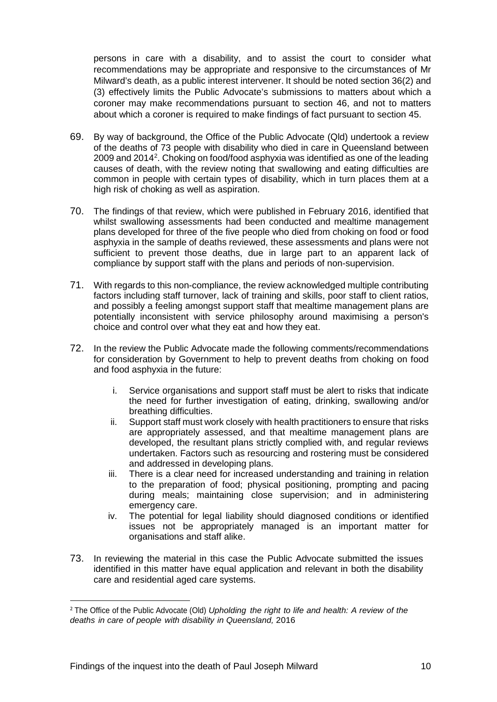persons in care with a disability, and to assist the court to consider what recommendations may be appropriate and responsive to the circumstances of Mr Milward's death, as a public interest intervener. It should be noted section 36(2) and (3) effectively limits the Public Advocate's submissions to matters about which a coroner may make recommendations pursuant to section 46, and not to matters about which a coroner is required to make findings of fact pursuant to section 45.

- 69. By way of background, the Office of the Public Advocate (Qld) undertook a review of the deaths of 73 people with disability who died in care in Queensland between [2](#page-11-0)009 and 2014<sup>2</sup>. Choking on food/food asphyxia was identified as one of the leading causes of death, with the review noting that swallowing and eating difficulties are common in people with certain types of disability, which in turn places them at a high risk of choking as well as aspiration.
- 70. The findings of that review, which were published in February 2016, identified that whilst swallowing assessments had been conducted and mealtime management plans developed for three of the five people who died from choking on food or food asphyxia in the sample of deaths reviewed, these assessments and plans were not sufficient to prevent those deaths, due in large part to an apparent lack of compliance by support staff with the plans and periods of non-supervision.
- 71. With regards to this non-compliance, the review acknowledged multiple contributing factors including staff turnover, lack of training and skills, poor staff to client ratios, and possibly a feeling amongst support staff that mealtime management plans are potentially inconsistent with service philosophy around maximising a person's choice and control over what they eat and how they eat.
- 72. In the review the Public Advocate made the following comments/recommendations for consideration by Government to help to prevent deaths from choking on food and food asphyxia in the future:
	- i. Service organisations and support staff must be alert to risks that indicate the need for further investigation of eating, drinking, swallowing and/or breathing difficulties.
	- ii. Support staff must work closely with health practitioners to ensure that risks are appropriately assessed, and that mealtime management plans are developed, the resultant plans strictly complied with, and regular reviews undertaken. Factors such as resourcing and rostering must be considered and addressed in developing plans.
	- iii. There is a clear need for increased understanding and training in relation to the preparation of food; physical positioning, prompting and pacing during meals; maintaining close supervision; and in administering emergency care.
	- iv. The potential for legal liability should diagnosed conditions or identified issues not be appropriately managed is an important matter for organisations and staff alike.
- 73. In reviewing the material in this case the Public Advocate submitted the issues identified in this matter have equal application and relevant in both the disability care and residential aged care systems.

**.** 

<span id="page-11-0"></span><sup>2</sup> The Office of the Public Advocate (Old) *Upholding the right to life and health: A review of the deaths in care of people with disability in Queensland,* 2016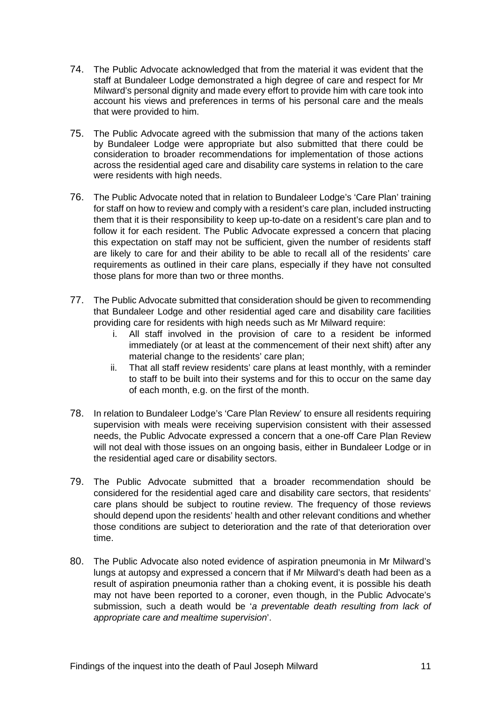- 74. The Public Advocate acknowledged that from the material it was evident that the staff at Bundaleer Lodge demonstrated a high degree of care and respect for Mr Milward's personal dignity and made every effort to provide him with care took into account his views and preferences in terms of his personal care and the meals that were provided to him.
- 75. The Public Advocate agreed with the submission that many of the actions taken by Bundaleer Lodge were appropriate but also submitted that there could be consideration to broader recommendations for implementation of those actions across the residential aged care and disability care systems in relation to the care were residents with high needs.
- 76. The Public Advocate noted that in relation to Bundaleer Lodge's 'Care Plan' training for staff on how to review and comply with a resident's care plan, included instructing them that it is their responsibility to keep up-to-date on a resident's care plan and to follow it for each resident. The Public Advocate expressed a concern that placing this expectation on staff may not be sufficient, given the number of residents staff are likely to care for and their ability to be able to recall all of the residents' care requirements as outlined in their care plans, especially if they have not consulted those plans for more than two or three months.
- 77. The Public Advocate submitted that consideration should be given to recommending that Bundaleer Lodge and other residential aged care and disability care facilities providing care for residents with high needs such as Mr Milward require:
	- i. All staff involved in the provision of care to a resident be informed immediately (or at least at the commencement of their next shift) after any material change to the residents' care plan;
	- ii. That all staff review residents' care plans at least monthly, with a reminder to staff to be built into their systems and for this to occur on the same day of each month, e.g. on the first of the month.
- 78. In relation to Bundaleer Lodge's 'Care Plan Review' to ensure all residents requiring supervision with meals were receiving supervision consistent with their assessed needs, the Public Advocate expressed a concern that a one-off Care Plan Review will not deal with those issues on an ongoing basis, either in Bundaleer Lodge or in the residential aged care or disability sectors.
- 79. The Public Advocate submitted that a broader recommendation should be considered for the residential aged care and disability care sectors, that residents' care plans should be subject to routine review. The frequency of those reviews should depend upon the residents' health and other relevant conditions and whether those conditions are subject to deterioration and the rate of that deterioration over time.
- 80. The Public Advocate also noted evidence of aspiration pneumonia in Mr Milward's lungs at autopsy and expressed a concern that if Mr Milward's death had been as a result of aspiration pneumonia rather than a choking event, it is possible his death may not have been reported to a coroner, even though, in the Public Advocate's submission, such a death would be '*a preventable death resulting from lack of appropriate care and mealtime supervision*'.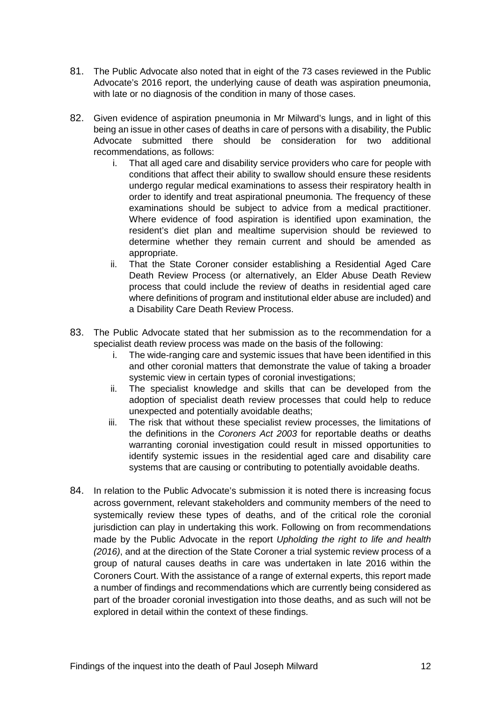- 81. The Public Advocate also noted that in eight of the 73 cases reviewed in the Public Advocate's 2016 report, the underlying cause of death was aspiration pneumonia, with late or no diagnosis of the condition in many of those cases.
- 82. Given evidence of aspiration pneumonia in Mr Milward's lungs, and in light of this being an issue in other cases of deaths in care of persons with a disability, the Public Advocate submitted there should be consideration for two additional recommendations, as follows:
	- i. That all aged care and disability service providers who care for people with conditions that affect their ability to swallow should ensure these residents undergo regular medical examinations to assess their respiratory health in order to identify and treat aspirational pneumonia. The frequency of these examinations should be subject to advice from a medical practitioner. Where evidence of food aspiration is identified upon examination, the resident's diet plan and mealtime supervision should be reviewed to determine whether they remain current and should be amended as appropriate.
	- ii. That the State Coroner consider establishing a Residential Aged Care Death Review Process (or alternatively, an Elder Abuse Death Review process that could include the review of deaths in residential aged care where definitions of program and institutional elder abuse are included) and a Disability Care Death Review Process.
- 83. The Public Advocate stated that her submission as to the recommendation for a specialist death review process was made on the basis of the following:
	- i. The wide-ranging care and systemic issues that have been identified in this and other coronial matters that demonstrate the value of taking a broader systemic view in certain types of coronial investigations;
	- ii. The specialist knowledge and skills that can be developed from the adoption of specialist death review processes that could help to reduce unexpected and potentially avoidable deaths;
	- iii. The risk that without these specialist review processes, the limitations of the definitions in the *Coroners Act 2003* for reportable deaths or deaths warranting coronial investigation could result in missed opportunities to identify systemic issues in the residential aged care and disability care systems that are causing or contributing to potentially avoidable deaths.
- 84. In relation to the Public Advocate's submission it is noted there is increasing focus across government, relevant stakeholders and community members of the need to systemically review these types of deaths, and of the critical role the coronial jurisdiction can play in undertaking this work. Following on from recommendations made by the Public Advocate in the report *Upholding the right to life and health (2016)*, and at the direction of the State Coroner a trial systemic review process of a group of natural causes deaths in care was undertaken in late 2016 within the Coroners Court. With the assistance of a range of external experts, this report made a number of findings and recommendations which are currently being considered as part of the broader coronial investigation into those deaths, and as such will not be explored in detail within the context of these findings.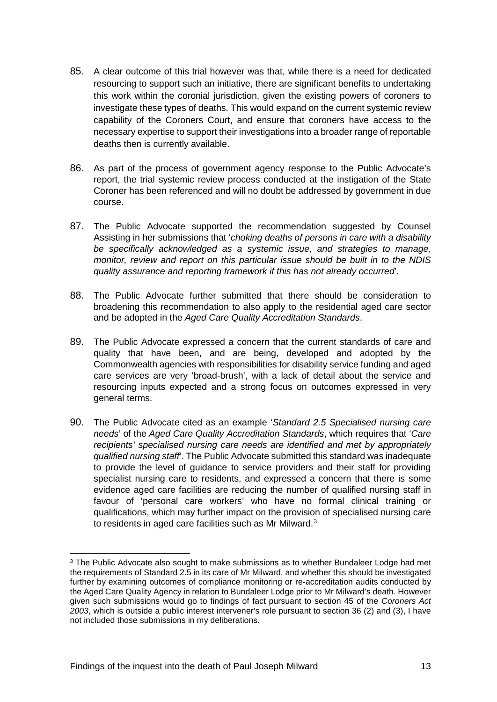- 85. A clear outcome of this trial however was that, while there is a need for dedicated resourcing to support such an initiative, there are significant benefits to undertaking this work within the coronial jurisdiction, given the existing powers of coroners to investigate these types of deaths. This would expand on the current systemic review capability of the Coroners Court, and ensure that coroners have access to the necessary expertise to support their investigations into a broader range of reportable deaths then is currently available.
- 86. As part of the process of government agency response to the Public Advocate's report, the trial systemic review process conducted at the instigation of the State Coroner has been referenced and will no doubt be addressed by government in due course.
- 87. The Public Advocate supported the recommendation suggested by Counsel Assisting in her submissions that '*choking deaths of persons in care with a disability be specifically acknowledged as a systemic issue, and strategies to manage, monitor, review and report on this particular issue should be built in to the NDIS quality assurance and reporting framework if this has not already occurred*'.
- 88. The Public Advocate further submitted that there should be consideration to broadening this recommendation to also apply to the residential aged care sector and be adopted in the *Aged Care Quality Accreditation Standards*.
- 89. The Public Advocate expressed a concern that the current standards of care and quality that have been, and are being, developed and adopted by the Commonwealth agencies with responsibilities for disability service funding and aged care services are very 'broad-brush', with a lack of detail about the service and resourcing inputs expected and a strong focus on outcomes expressed in very general terms.
- 90. The Public Advocate cited as an example '*Standard 2.5 Specialised nursing care needs*' of the *Aged Care Quality Accreditation Standards*, which requires that '*Care recipients' specialised nursing care needs are identified and met by appropriately qualified nursing staff*'. The Public Advocate submitted this standard was inadequate to provide the level of guidance to service providers and their staff for providing specialist nursing care to residents, and expressed a concern that there is some evidence aged care facilities are reducing the number of qualified nursing staff in favour of 'personal care workers' who have no formal clinical training or qualifications, which may further impact on the provision of specialised nursing care to residents in aged care facilities such as Mr Milward.<sup>[3](#page-14-0)</sup>

 $\overline{a}$ 

<span id="page-14-0"></span><sup>&</sup>lt;sup>3</sup> The Public Advocate also sought to make submissions as to whether Bundaleer Lodge had met the requirements of Standard 2.5 in its care of Mr Milward, and whether this should be investigated further by examining outcomes of compliance monitoring or re-accreditation audits conducted by the Aged Care Quality Agency in relation to Bundaleer Lodge prior to Mr Milward's death. However given such submissions would go to findings of fact pursuant to section 45 of the *Coroners Act 2003*, which is outside a public interest intervener's role pursuant to section 36 (2) and (3), I have not included those submissions in my deliberations.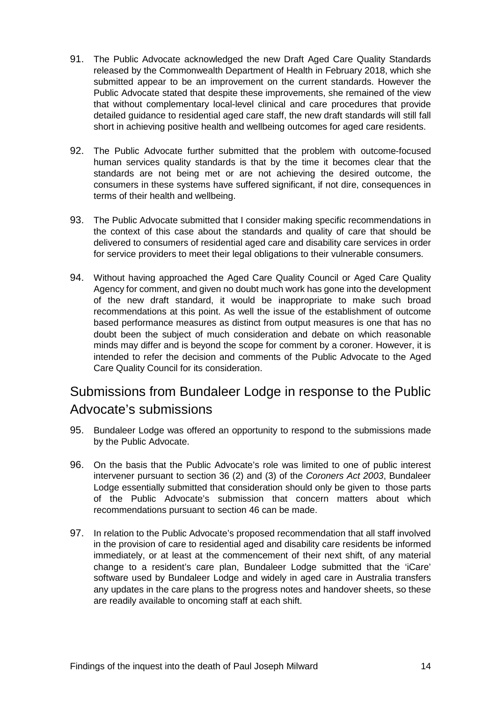- 91. The Public Advocate acknowledged the new Draft Aged Care Quality Standards released by the Commonwealth Department of Health in February 2018, which she submitted appear to be an improvement on the current standards. However the Public Advocate stated that despite these improvements, she remained of the view that without complementary local-level clinical and care procedures that provide detailed guidance to residential aged care staff, the new draft standards will still fall short in achieving positive health and wellbeing outcomes for aged care residents.
- 92. The Public Advocate further submitted that the problem with outcome-focused human services quality standards is that by the time it becomes clear that the standards are not being met or are not achieving the desired outcome, the consumers in these systems have suffered significant, if not dire, consequences in terms of their health and wellbeing.
- 93. The Public Advocate submitted that I consider making specific recommendations in the context of this case about the standards and quality of care that should be delivered to consumers of residential aged care and disability care services in order for service providers to meet their legal obligations to their vulnerable consumers.
- 94. Without having approached the Aged Care Quality Council or Aged Care Quality Agency for comment, and given no doubt much work has gone into the development of the new draft standard, it would be inappropriate to make such broad recommendations at this point. As well the issue of the establishment of outcome based performance measures as distinct from output measures is one that has no doubt been the subject of much consideration and debate on which reasonable minds may differ and is beyond the scope for comment by a coroner. However, it is intended to refer the decision and comments of the Public Advocate to the Aged Care Quality Council for its consideration.

# <span id="page-15-0"></span>Submissions from Bundaleer Lodge in response to the Public Advocate's submissions

- 95. Bundaleer Lodge was offered an opportunity to respond to the submissions made by the Public Advocate.
- 96. On the basis that the Public Advocate's role was limited to one of public interest intervener pursuant to section 36 (2) and (3) of the *Coroners Act 2003*, Bundaleer Lodge essentially submitted that consideration should only be given to those parts of the Public Advocate's submission that concern matters about which recommendations pursuant to section 46 can be made.
- 97. In relation to the Public Advocate's proposed recommendation that all staff involved in the provision of care to residential aged and disability care residents be informed immediately, or at least at the commencement of their next shift, of any material change to a resident's care plan, Bundaleer Lodge submitted that the 'iCare' software used by Bundaleer Lodge and widely in aged care in Australia transfers any updates in the care plans to the progress notes and handover sheets, so these are readily available to oncoming staff at each shift.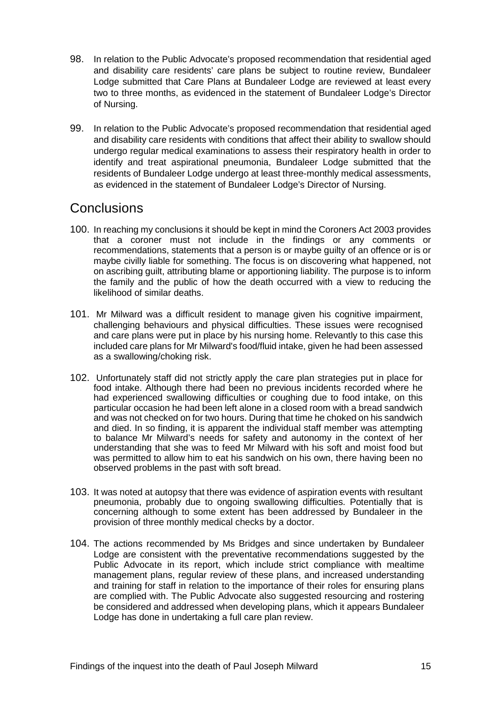- 98. In relation to the Public Advocate's proposed recommendation that residential aged and disability care residents' care plans be subject to routine review, Bundaleer Lodge submitted that Care Plans at Bundaleer Lodge are reviewed at least every two to three months, as evidenced in the statement of Bundaleer Lodge's Director of Nursing.
- 99. In relation to the Public Advocate's proposed recommendation that residential aged and disability care residents with conditions that affect their ability to swallow should undergo regular medical examinations to assess their respiratory health in order to identify and treat aspirational pneumonia, Bundaleer Lodge submitted that the residents of Bundaleer Lodge undergo at least three-monthly medical assessments, as evidenced in the statement of Bundaleer Lodge's Director of Nursing.

#### <span id="page-16-0"></span>**Conclusions**

- 100. In reaching my conclusions it should be kept in mind the Coroners Act 2003 provides that a coroner must not include in the findings or any comments or recommendations, statements that a person is or maybe guilty of an offence or is or maybe civilly liable for something. The focus is on discovering what happened, not on ascribing guilt, attributing blame or apportioning liability. The purpose is to inform the family and the public of how the death occurred with a view to reducing the likelihood of similar deaths.
- 101. Mr Milward was a difficult resident to manage given his cognitive impairment, challenging behaviours and physical difficulties. These issues were recognised and care plans were put in place by his nursing home. Relevantly to this case this included care plans for Mr Milward's food/fluid intake, given he had been assessed as a swallowing/choking risk.
- 102. Unfortunately staff did not strictly apply the care plan strategies put in place for food intake. Although there had been no previous incidents recorded where he had experienced swallowing difficulties or coughing due to food intake, on this particular occasion he had been left alone in a closed room with a bread sandwich and was not checked on for two hours. During that time he choked on his sandwich and died. In so finding, it is apparent the individual staff member was attempting to balance Mr Milward's needs for safety and autonomy in the context of her understanding that she was to feed Mr Milward with his soft and moist food but was permitted to allow him to eat his sandwich on his own, there having been no observed problems in the past with soft bread.
- 103. It was noted at autopsy that there was evidence of aspiration events with resultant pneumonia, probably due to ongoing swallowing difficulties. Potentially that is concerning although to some extent has been addressed by Bundaleer in the provision of three monthly medical checks by a doctor.
- 104. The actions recommended by Ms Bridges and since undertaken by Bundaleer Lodge are consistent with the preventative recommendations suggested by the Public Advocate in its report, which include strict compliance with mealtime management plans, regular review of these plans, and increased understanding and training for staff in relation to the importance of their roles for ensuring plans are complied with. The Public Advocate also suggested resourcing and rostering be considered and addressed when developing plans, which it appears Bundaleer Lodge has done in undertaking a full care plan review.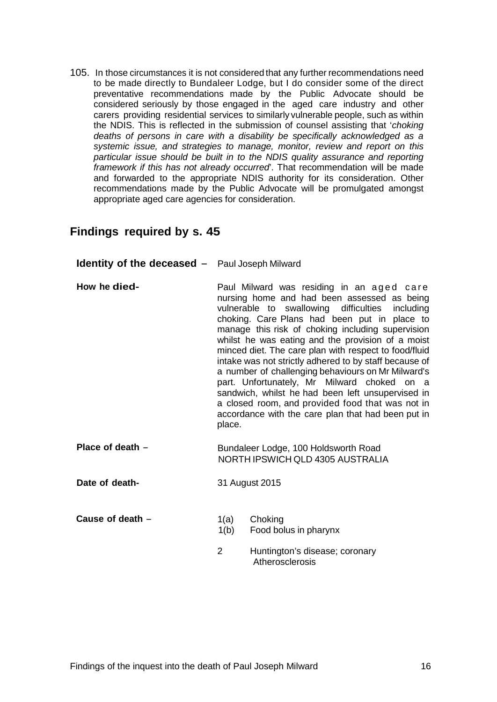105. In those circumstances it is not considered that any further recommendations need to be made directly to Bundaleer Lodge, but I do consider some of the direct preventative recommendations made by the Public Advocate should be considered seriously by those engaged in the aged care industry and other carers providing residential services to similarly vulnerable people, such as within the NDIS. This is reflected in the submission of counsel assisting that '*choking deaths of persons in care with a disability be specifically acknowledged as a systemic issue, and strategies to manage, monitor, review and report on this particular issue should be built in to the NDIS quality assurance and reporting framework if this has not already occurred*'. That recommendation will be made and forwarded to the appropriate NDIS authority for its consideration. Other recommendations made by the Public Advocate will be promulgated amongst appropriate aged care agencies for consideration.

#### <span id="page-17-0"></span>**Findings required by s. 45**

| <b>Identity of the deceased -</b> Paul Joseph Milward |                                                                                                                                                                                                                                                                                                                                                                                                                                                                                                                                                                                                                                                                                                        |
|-------------------------------------------------------|--------------------------------------------------------------------------------------------------------------------------------------------------------------------------------------------------------------------------------------------------------------------------------------------------------------------------------------------------------------------------------------------------------------------------------------------------------------------------------------------------------------------------------------------------------------------------------------------------------------------------------------------------------------------------------------------------------|
| How he died-                                          | Paul Milward was residing in an aged care<br>nursing home and had been assessed as being<br>vulnerable to swallowing difficulties including<br>choking. Care Plans had been put in place to<br>manage this risk of choking including supervision<br>whilst he was eating and the provision of a moist<br>minced diet. The care plan with respect to food/fluid<br>intake was not strictly adhered to by staff because of<br>a number of challenging behaviours on Mr Milward's<br>part. Unfortunately, Mr Milward choked on a<br>sandwich, whilst he had been left unsupervised in<br>a closed room, and provided food that was not in<br>accordance with the care plan that had been put in<br>place. |
| Place of death -                                      | Bundaleer Lodge, 100 Holdsworth Road<br>NORTH IPSWICH QLD 4305 AUSTRALIA                                                                                                                                                                                                                                                                                                                                                                                                                                                                                                                                                                                                                               |
| Date of death-                                        | 31 August 2015                                                                                                                                                                                                                                                                                                                                                                                                                                                                                                                                                                                                                                                                                         |
| Cause of death -                                      | Choking<br>1(a)<br>1(b)<br>Food bolus in pharynx                                                                                                                                                                                                                                                                                                                                                                                                                                                                                                                                                                                                                                                       |

2 Huntington's disease; coronary **Atherosclerosis**